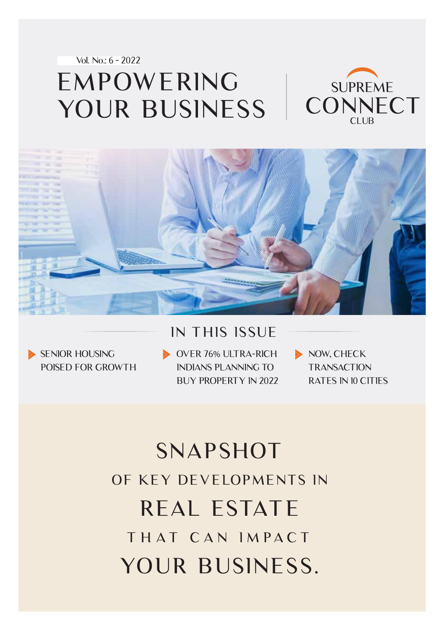Vol. No.: 6 - 2022

#### EMPOWERING YOUR BUSINESS SUPREME **CONNECT** CLU<sub>B</sub>



### IN THIS ISSUE

SENIOR HOUSING POISED FOR GROWTH OVER 76% ULTRA-RICH INDIANS PLANNING TO BUY PROPERTY IN 2022 NOW, CHECK **TRANSACTION** RATES IN 10 CITIES

# SNAPSHOT OF KEY DEVELOPMENTS IN THAT CAN IMPACT REAL ESTATE YOUR BUSINESS.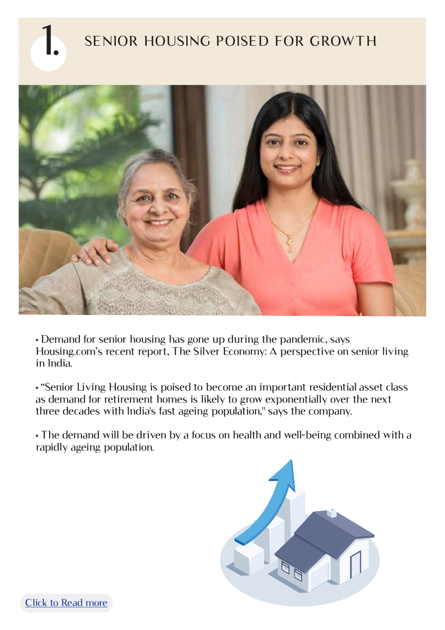

## SENIOR HOUSING POISED FOR GROWTH



• Demand for senior housing has gone up during the pandemic, says Housing.com's recent report, The Silver Economy: A perspective on senior living in India.

• "Senior Living Housing is poised to become an important residential asset class as demand for retirement homes is likely to grow exponentially over the next three decades with India's fast ageing population," says the company.

• The demand will be driven by a focus on health and well-being combined with a rapidly ageing population.

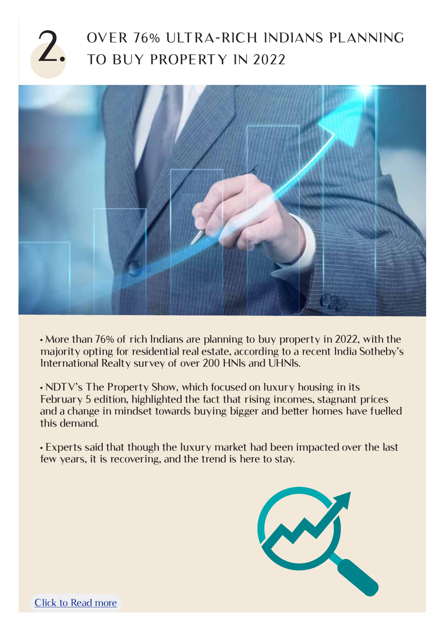### 2. OVER 76% ULTRA-RICH INDIANS PLANNING TO BUY PROPERTY IN 2022



• More than 76% of rich Indians are planning to buy property in 2022, with the majority opting for residential real estate, according to a recent India Sotheby's International Realty survey of over 200 HNIs and UHNIs.

• NDTV's The Property Show, which focused on luxury housing in its February 5 edition, highlighted the fact that rising incomes, stagnant prices and a change in mindset towards buying bigger and better homes have fuelled this demand.

• Experts said that though the luxury market had been impacted over the last few years, it is recovering, and the trend is here to stay.

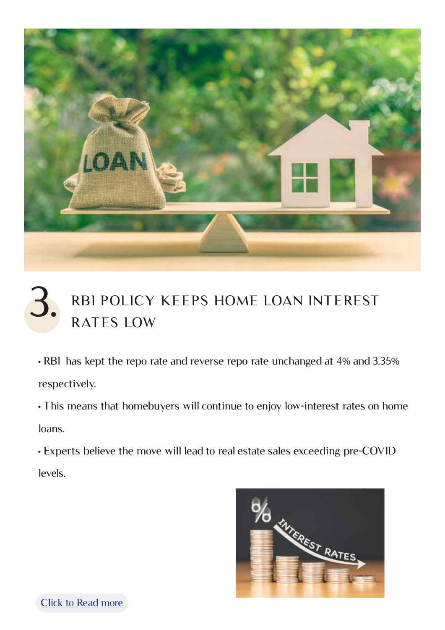

# RBI POLICY KEEPS HOME LOAN INTEREST 3. RBI POLICY

• RBI has kept the repo rate and reverse repo rate unchanged at 4% and 3.35% respectively.

• This means that homebuyers will continue to enjoy low-interest rates on home loans.

• Experts believe the move will lead to real estate sales exceeding pre-COVID levels.



[Click to Read more](https://www.cnbctv18.com/real-estate/with-key-policy-rates-unchanged-experts-say-real-estate-sales-will-exceed-pre-covid-levels-12436682.htm)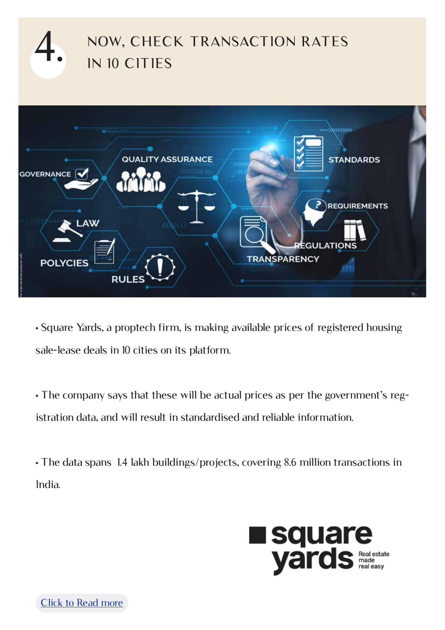

• Square Yards, a proptech firm, is making available prices of registered housing sale-lease deals in 10 cities on its platform.

• The company says that these will be actual prices as per the government's registration data, and will result in standardised and reliable information.

• The data spans 1.4 lakh buildings/projects, covering 8.6 million transactions in India.

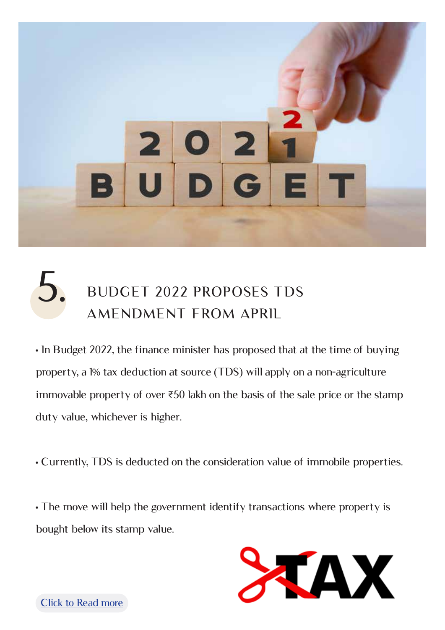

## 5. BUDGET 2022 PROPOSES TDS AMENDMENT FROM APRIL

• In Budget 2022, the finance minister has proposed that at the time of buying property, a 1% tax deduction at source (TDS) will apply on a non-agriculture immovable property of over ₹50 lakh on the basis of the sale price or the stamp duty value, whichever is higher.

• Currently, TDS is deducted on the consideration value of immobile properties.

• The move will help the government identify transactions where property is bought below its stamp value.

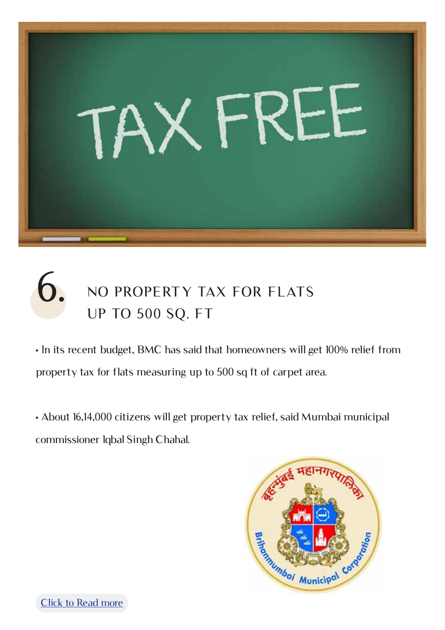

## NO PROPERTY TAX FOR FLATS UP TO 500 SQ. FT 6.

• In its recent budget, BMC has said that homeowners will get 100% relief from property tax for flats measuring up to 500 sq ft of carpet area.

• About 16,14,000 citizens will get property tax relief, said Mumbai municipal commissioner Iqbal Singh Chahal.



[Click to Read more](https://realty.economictimes.indiatimes.com/news/industry/bmc-presents-rs-45949-crore-budget-no-property-tax-for-flats-measuring-up-to-500-sq-ft/89324499)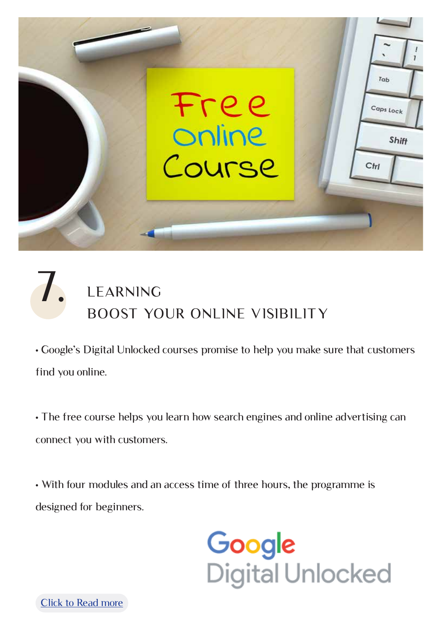

## LEARNING BOOST YOUR ONLINE VISIBILITY 7.

• Google's Digital Unlocked courses promise to help you make sure that customers find you online.

• The free course helps you learn how search engines and online advertising can connect you with customers.

• With four modules and an access time of three hours, the programme is designed for beginners.